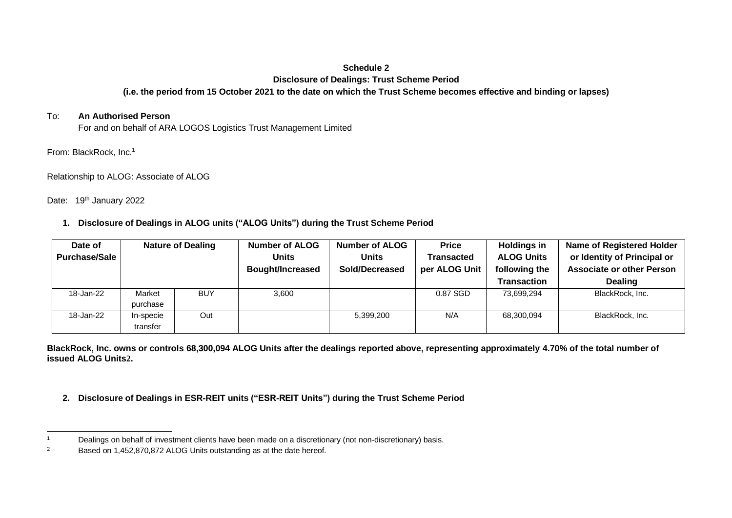## **Schedule 2**

#### **Disclosure of Dealings: Trust Scheme Period**

# **(i.e. the period from 15 October 2021 to the date on which the Trust Scheme becomes effective and binding or lapses)**

## To: **An Authorised Person**

For and on behalf of ARA LOGOS Logistics Trust Management Limited

From: BlackRock, Inc.<sup>1</sup>

Relationship to ALOG: Associate of ALOG

Date: 19<sup>th</sup> January 2022

**1. Disclosure of Dealings in ALOG units ("ALOG Units") during the Trust Scheme Period**

| Date of              | <b>Nature of Dealing</b> |            | <b>Number of ALOG</b>   | Number of ALOG | <b>Price</b>  | <b>Holdings in</b> | <b>Name of Registered Holder</b> |
|----------------------|--------------------------|------------|-------------------------|----------------|---------------|--------------------|----------------------------------|
| <b>Purchase/Sale</b> |                          |            | Units                   | Units          | Transacted    | <b>ALOG Units</b>  | or Identity of Principal or      |
|                      |                          |            | <b>Bought/Increased</b> | Sold/Decreased | per ALOG Unit | following the      | <b>Associate or other Person</b> |
|                      |                          |            |                         |                |               | <b>Transaction</b> | <b>Dealing</b>                   |
| 18-Jan-22            | Market                   | <b>BUY</b> | 3,600                   |                | $0.87$ SGD    | 73.699.294         | BlackRock, Inc.                  |
|                      | purchase                 |            |                         |                |               |                    |                                  |
| 18-Jan-22            | In-specie                | Out        |                         | 5,399,200      | N/A           | 68,300,094         | BlackRock, Inc.                  |
|                      | transfer                 |            |                         |                |               |                    |                                  |

**BlackRock, Inc. owns or controls 68,300,094 ALOG Units after the dealings reported above, representing approximately 4.70% of the total number of issued ALOG Units2.** 

**2. Disclosure of Dealings in ESR-REIT units ("ESR-REIT Units") during the Trust Scheme Period**

<sup>&</sup>lt;sup>1</sup> Dealings on behalf of investment clients have been made on a discretionary (not non-discretionary) basis.

<sup>&</sup>lt;sup>2</sup> Based on 1,452,870,872 ALOG Units outstanding as at the date hereof.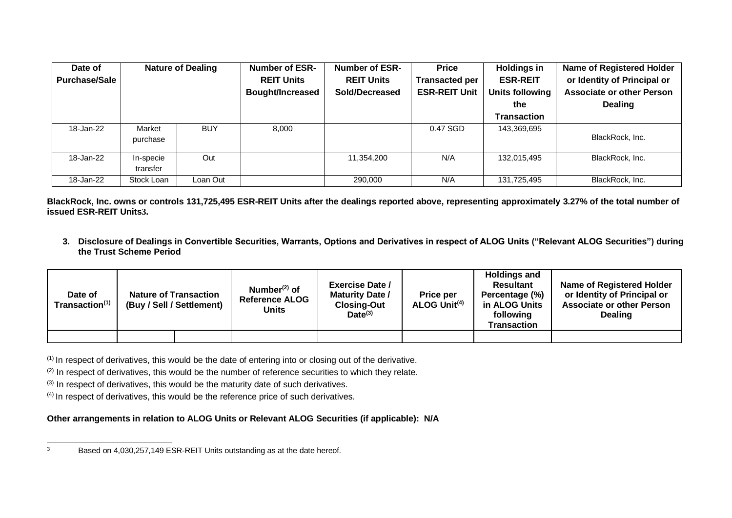| <b>Nature of Dealing</b><br>Date of |                       | <b>Number of ESR-</b> | <b>Number of ESR-</b>   | <b>Price</b>      | <b>Holdings in</b>    | <b>Name of Registered Holder</b> |                                  |
|-------------------------------------|-----------------------|-----------------------|-------------------------|-------------------|-----------------------|----------------------------------|----------------------------------|
| <b>Purchase/Sale</b>                |                       |                       | <b>REIT Units</b>       | <b>REIT Units</b> | <b>Transacted per</b> | <b>ESR-REIT</b>                  | or Identity of Principal or      |
|                                     |                       |                       | <b>Bought/Increased</b> | Sold/Decreased    | <b>ESR-REIT Unit</b>  | Units following                  | <b>Associate or other Person</b> |
|                                     |                       |                       |                         |                   |                       | the                              | <b>Dealing</b>                   |
|                                     |                       |                       |                         |                   |                       | <b>Transaction</b>               |                                  |
| 18-Jan-22                           | Market<br>purchase    | <b>BUY</b>            | 8.000                   |                   | 0.47 SGD              | 143,369,695                      | BlackRock, Inc.                  |
| 18-Jan-22                           | In-specie<br>transfer | Out                   |                         | 11,354,200        | N/A                   | 132,015,495                      | BlackRock, Inc.                  |
| 18-Jan-22                           | Stock Loan            | Loan Out              |                         | 290,000           | N/A                   | 131,725,495                      | BlackRock, Inc.                  |

**BlackRock, Inc. owns or controls 131,725,495 ESR-REIT Units after the dealings reported above, representing approximately 3.27% of the total number of issued ESR-REIT Units3.** 

**3. Disclosure of Dealings in Convertible Securities, Warrants, Options and Derivatives in respect of ALOG Units ("Relevant ALOG Securities") during the Trust Scheme Period**

| Date of<br>Transaction(1) | <b>Nature of Transaction</b><br>(Buy / Sell / Settlement) |  | Number $(2)$ of<br><b>Reference ALOG</b><br><b>Units</b> | <b>Exercise Date /</b><br><b>Maturity Date /</b><br><b>Closing-Out</b><br>$Date^{(3)}$ | <b>Price per</b><br>ALOG Unit <sup>(4)</sup> | <b>Holdings and</b><br><b>Resultant</b><br>Percentage (%)<br>in ALOG Units<br>following<br>Transaction | <b>Name of Registered Holder</b><br>or Identity of Principal or<br><b>Associate or other Person</b><br><b>Dealing</b> |
|---------------------------|-----------------------------------------------------------|--|----------------------------------------------------------|----------------------------------------------------------------------------------------|----------------------------------------------|--------------------------------------------------------------------------------------------------------|-----------------------------------------------------------------------------------------------------------------------|
|                           |                                                           |  |                                                          |                                                                                        |                                              |                                                                                                        |                                                                                                                       |

 $(1)$  In respect of derivatives, this would be the date of entering into or closing out of the derivative.

 $(2)$  In respect of derivatives, this would be the number of reference securities to which they relate.

 $(3)$  In respect of derivatives, this would be the maturity date of such derivatives.

(4) In respect of derivatives, this would be the reference price of such derivatives.

### **Other arrangements in relation to ALOG Units or Relevant ALOG Securities (if applicable): N/A**

<sup>&</sup>lt;sup>3</sup> Based on 4,030,257,149 ESR-REIT Units outstanding as at the date hereof.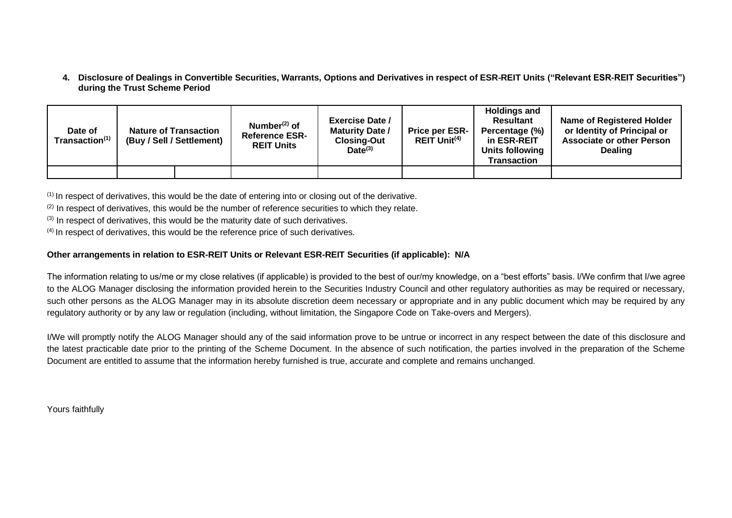**4. Disclosure of Dealings in Convertible Securities, Warrants, Options and Derivatives in respect of ESR-REIT Units ("Relevant ESR-REIT Securities") during the Trust Scheme Period**

| Date of<br>Transaction <sup>(1)</sup> | <b>Nature of Transaction</b><br>(Buy / Sell / Settlement) | Number $(2)$ of<br><b>Reference ESR-</b><br><b>REIT Units</b> | <b>Exercise Date /</b><br><b>Maturity Date /</b><br><b>Closing-Out</b><br>$Date^{(3)}$ | <b>Price per ESR-</b><br>$REIT$ Unit <sup>(4)</sup> | <b>Holdings and</b><br><b>Resultant</b><br>Percentage (%)<br>in ESR-REIT<br>Units following<br><b>Transaction</b> | <b>Name of Registered Holder</b><br>or Identity of Principal or<br><b>Associate or other Person</b><br><b>Dealing</b> |
|---------------------------------------|-----------------------------------------------------------|---------------------------------------------------------------|----------------------------------------------------------------------------------------|-----------------------------------------------------|-------------------------------------------------------------------------------------------------------------------|-----------------------------------------------------------------------------------------------------------------------|
|                                       |                                                           |                                                               |                                                                                        |                                                     |                                                                                                                   |                                                                                                                       |

 $<sup>(1)</sup>$  In respect of derivatives, this would be the date of entering into or closing out of the derivative.</sup>

 $(2)$  In respect of derivatives, this would be the number of reference securities to which they relate.

 $(3)$  In respect of derivatives, this would be the maturity date of such derivatives.

(4) In respect of derivatives, this would be the reference price of such derivatives.

#### **Other arrangements in relation to ESR-REIT Units or Relevant ESR-REIT Securities (if applicable): N/A**

The information relating to us/me or my close relatives (if applicable) is provided to the best of our/my knowledge, on a "best efforts" basis. I/We confirm that I/we agree to the ALOG Manager disclosing the information provided herein to the Securities Industry Council and other regulatory authorities as may be required or necessary, such other persons as the ALOG Manager may in its absolute discretion deem necessary or appropriate and in any public document which may be required by any regulatory authority or by any law or regulation (including, without limitation, the Singapore Code on Take-overs and Mergers).

I/We will promptly notify the ALOG Manager should any of the said information prove to be untrue or incorrect in any respect between the date of this disclosure and the latest practicable date prior to the printing of the Scheme Document. In the absence of such notification, the parties involved in the preparation of the Scheme Document are entitled to assume that the information hereby furnished is true, accurate and complete and remains unchanged.

Yours faithfully